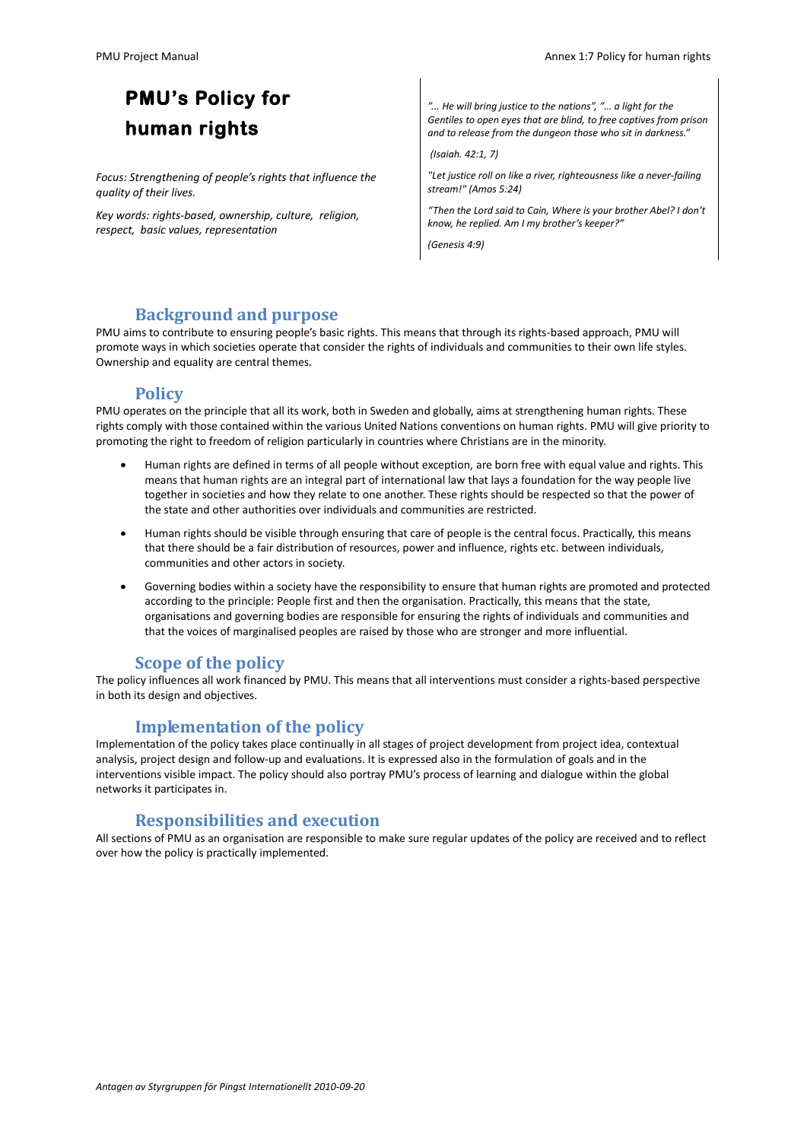# **PMU's Policy for human rights**

*Focus: Strengthening of people's rights that influence the quality of their lives.* 

*Key words: rights-based, ownership, culture, religion, respect, basic values, representation*

*"... He will bring justice to the nations", "… a light for the Gentiles to open eyes that are blind, to free captives from prison and to release from the dungeon those who sit in darkness."*

*(Isaiah. 42:1, 7)* 

*"Let justice roll on like a river, righteousness like a never-failing stream!" (Amos 5:24)*

*"Then the Lord said to Cain, Where is your brother Abel? I don't know, he replied. Am I my brother's keeper?"*

*(Genesis 4:9)*

#### **Background and purpose**

PMU aims to contribute to ensuring people's basic rights. This means that through its rights-based approach, PMU will promote ways in which societies operate that consider the rights of individuals and communities to their own life styles. Ownership and equality are central themes.

#### **Policy**

PMU operates on the principle that all its work, both in Sweden and globally, aims at strengthening human rights. These rights comply with those contained within the various United Nations conventions on human rights. PMU will give priority to promoting the right to freedom of religion particularly in countries where Christians are in the minority.

- Human rights are defined in terms of all people without exception, are born free with equal value and rights. This means that human rights are an integral part of international law that lays a foundation for the way people live together in societies and how they relate to one another. These rights should be respected so that the power of the state and other authorities over individuals and communities are restricted.
- Human rights should be visible through ensuring that care of people is the central focus. Practically, this means that there should be a fair distribution of resources, power and influence, rights etc. between individuals, communities and other actors in society.
- Governing bodies within a society have the responsibility to ensure that human rights are promoted and protected according to the principle: People first and then the organisation. Practically, this means that the state, organisations and governing bodies are responsible for ensuring the rights of individuals and communities and that the voices of marginalised peoples are raised by those who are stronger and more influential.

### **Scope of the policy**

The policy influences all work financed by PMU. This means that all interventions must consider a rights-based perspective in both its design and objectives.

### **Implementation of the policy**

Implementation of the policy takes place continually in all stages of project development from project idea, contextual analysis, project design and follow-up and evaluations. It is expressed also in the formulation of goals and in the interventions visible impact. The policy should also portray PMU's process of learning and dialogue within the global networks it participates in.

#### **Responsibilities and execution**

All sections of PMU as an organisation are responsible to make sure regular updates of the policy are received and to reflect over how the policy is practically implemented.